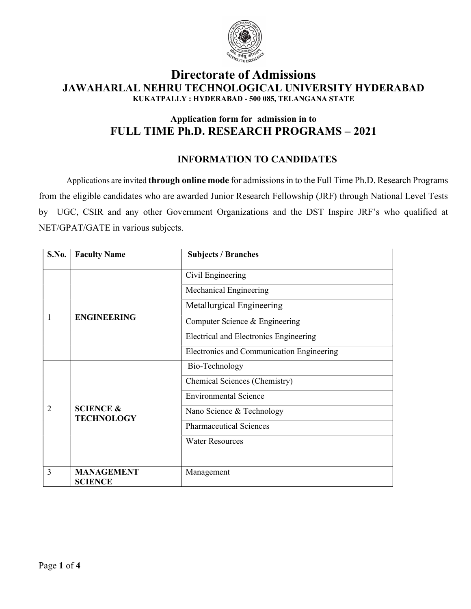

# Directorate of Admissions JAWAHARLAL NEHRU TECHNOLOGICAL UNIVERSITY HYDERABAD KUKATPALLY : HYDERABAD - 500 085, TELANGANA STATE

# Application form for admission in to FULL TIME Ph.D. RESEARCH PROGRAMS – 2021

# INFORMATION TO CANDIDATES

Applications are invited through online mode for admissions in to the Full Time Ph.D. Research Programs from the eligible candidates who are awarded Junior Research Fellowship (JRF) through National Level Tests by UGC, CSIR and any other Government Organizations and the DST Inspire JRF's who qualified at NET/GPAT/GATE in various subjects.

| S.No. | <b>Faculty Name</b>                       | <b>Subjects / Branches</b>                |  |
|-------|-------------------------------------------|-------------------------------------------|--|
|       | <b>ENGINEERING</b>                        | Civil Engineering                         |  |
|       |                                           | Mechanical Engineering                    |  |
|       |                                           | Metallurgical Engineering                 |  |
| 1     |                                           | Computer Science & Engineering            |  |
|       |                                           | Electrical and Electronics Engineering    |  |
|       |                                           | Electronics and Communication Engineering |  |
|       | <b>SCIENCE &amp;</b><br><b>TECHNOLOGY</b> | Bio-Technology                            |  |
|       |                                           | Chemical Sciences (Chemistry)             |  |
|       |                                           | <b>Environmental Science</b>              |  |
| 2     |                                           | Nano Science & Technology                 |  |
|       |                                           | <b>Pharmaceutical Sciences</b>            |  |
|       |                                           | <b>Water Resources</b>                    |  |
|       |                                           |                                           |  |
| 3     | <b>MANAGEMENT</b><br><b>SCIENCE</b>       | Management                                |  |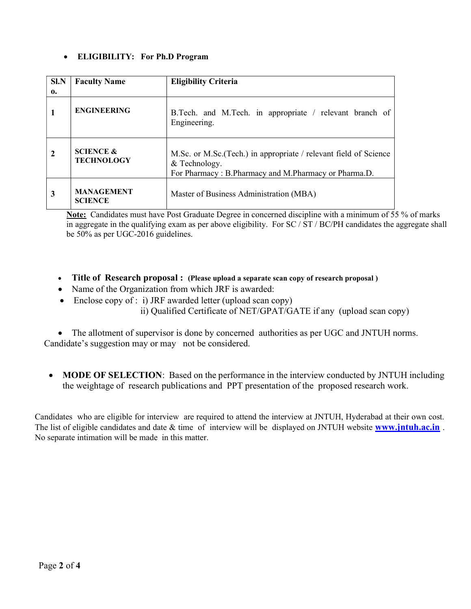### ELIGIBILITY: For Ph.D Program

| <b>SI.N</b><br>0. | <b>Faculty Name</b>                       | <b>Eligibility Criteria</b>                                                                                                                |
|-------------------|-------------------------------------------|--------------------------------------------------------------------------------------------------------------------------------------------|
|                   | <b>ENGINEERING</b>                        | B.Tech. and M.Tech. in appropriate / relevant branch of<br>Engineering.                                                                    |
|                   | <b>SCIENCE &amp;</b><br><b>TECHNOLOGY</b> | M.Sc. or M.Sc. (Tech.) in appropriate / relevant field of Science<br>& Technology.<br>For Pharmacy: B.Pharmacy and M.Pharmacy or Pharma.D. |
| 3                 | <b>MANAGEMENT</b><br><b>SCIENCE</b>       | Master of Business Administration (MBA)                                                                                                    |

Note: Candidates must have Post Graduate Degree in concerned discipline with a minimum of 55 % of marks in aggregate in the qualifying exam as per above eligibility. For SC / ST / BC/PH candidates the aggregate shall be 50% as per UGC-2016 guidelines.

- Title of Research proposal : (Please upload a separate scan copy of research proposal)
- Name of the Organization from which JRF is awarded:
- Enclose copy of : i) JRF awarded letter (upload scan copy) ii) Qualified Certificate of NET/GPAT/GATE if any (upload scan copy)

• The allotment of supervisor is done by concerned authorities as per UGC and JNTUH norms. Candidate's suggestion may or may not be considered.

• MODE OF SELECTION: Based on the performance in the interview conducted by JNTUH including the weightage of research publications and PPT presentation of the proposed research work.

Candidates who are eligible for interview are required to attend the interview at JNTUH, Hyderabad at their own cost. The list of eligible candidates and date & time of interview will be displayed on JNTUH website **www.jntuh.ac.in**. No separate intimation will be made in this matter.